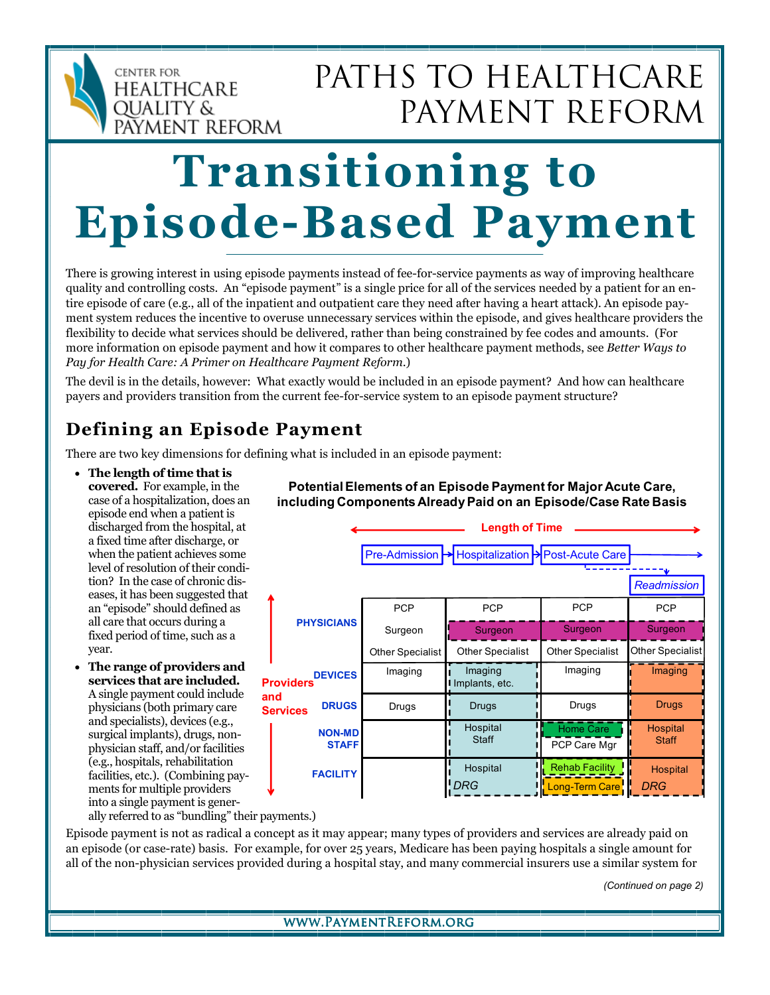

# PATHS TO HEALTHCARE PAYMENT REFORM

# Transitioning to Episode-Based Payment

There is growing interest in using episode payments instead of fee-for-service payments as way of improving healthcare quality and controlling costs. An "episode payment" is a single price for all of the services needed by a patient for an entire episode of care (e.g., all of the inpatient and outpatient care they need after having a heart attack). An episode payment system reduces the incentive to overuse unnecessary services within the episode, and gives healthcare providers the flexibility to decide what services should be delivered, rather than being constrained by fee codes and amounts. (For more information on episode payment and how it compares to other healthcare payment methods, see Better Ways to Pay for Health Care: A Primer on Healthcare Payment Reform.)

The devil is in the details, however: What exactly would be included in an episode payment? And how can healthcare payers and providers transition from the current fee-for-service system to an episode payment structure?

## Defining an Episode Payment

There are two key dimensions for defining what is included in an episode payment:

- The length of time that is covered. For example, in the case of a hospitalization, does an episode end when a patient is discharged from the hospital, at a fixed time after discharge, or when the patient achieves some level of resolution of their condition? In the case of chronic diseases, it has been suggested that an "episode" should defined as all care that occurs during a fixed period of time, such as a year.
- The range of providers and services that are included. A single payment could include physicians (both primary care and specialists), devices (e.g., surgical implants), drugs, nonphysician staff, and/or facilities (e.g., hospitals, rehabilitation facilities, etc.). (Combining payments for multiple providers into a single payment is gener-

**PCP** PHYSICIANS Surgeon DEVICES Providers DRUGS **FACILITY** NON-MD **STAFF** PCP | PCP | PCP Other Specialist Surgeon Surgeon **Other Specialist** Surgeon Home Care PCP Care Mgr **Hospital Staff** Hospital Staff Hospital Hospital Hospital Long-Term Care DRG DRG Drugs <mark>!</mark> Drugs I Drugs <mark>!</mark> Drugs Imaging **i** Imaging **I** Imaging **i** Imaging Implants, etc. Pre-Admission Mespitalization Messi-Acute Care **Readmission** Other Specialist | Other Specialist | Other Specialist Length of Time and **Services** 

Potential Elements of an Episode Payment for Major Acute Care, including Components Already Paid on an Episode/Case Rate Basis

ally referred to as "bundling" their payments.)

Episode payment is not as radical a concept as it may appear; many types of providers and services are already paid on an episode (or case-rate) basis. For example, for over 25 years, Medicare has been paying hospitals a single amount for all of the non-physician services provided during a hospital stay, and many commercial insurers use a similar system for

(Continued on page 2)

#### www.PaymentReform.org